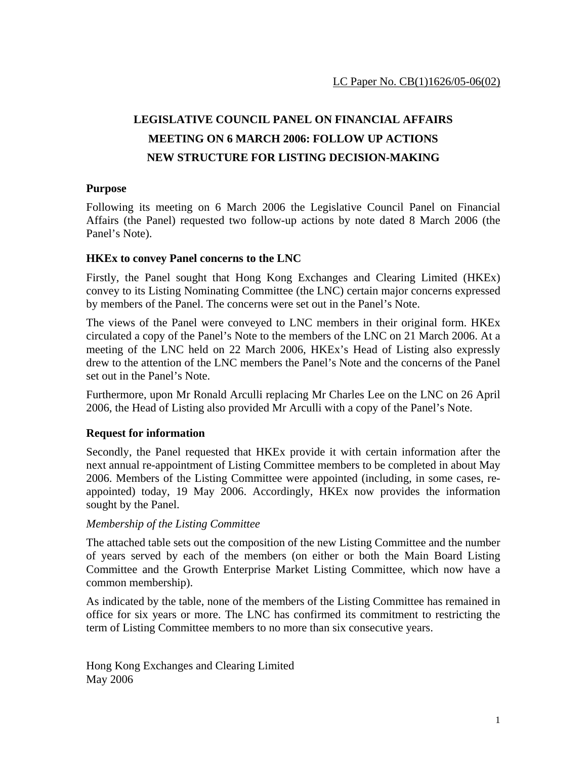# **LEGISLATIVE COUNCIL PANEL ON FINANCIAL AFFAIRS MEETING ON 6 MARCH 2006: FOLLOW UP ACTIONS NEW STRUCTURE FOR LISTING DECISION-MAKING**

#### **Purpose**

Following its meeting on 6 March 2006 the Legislative Council Panel on Financial Affairs (the Panel) requested two follow-up actions by note dated 8 March 2006 (the Panel's Note).

### **HKEx to convey Panel concerns to the LNC**

Firstly, the Panel sought that Hong Kong Exchanges and Clearing Limited (HKEx) convey to its Listing Nominating Committee (the LNC) certain major concerns expressed by members of the Panel. The concerns were set out in the Panel's Note.

The views of the Panel were conveyed to LNC members in their original form. HKEx circulated a copy of the Panel's Note to the members of the LNC on 21 March 2006. At a meeting of the LNC held on 22 March 2006, HKEx's Head of Listing also expressly drew to the attention of the LNC members the Panel's Note and the concerns of the Panel set out in the Panel's Note.

Furthermore, upon Mr Ronald Arculli replacing Mr Charles Lee on the LNC on 26 April 2006, the Head of Listing also provided Mr Arculli with a copy of the Panel's Note.

## **Request for information**

Secondly, the Panel requested that HKEx provide it with certain information after the next annual re-appointment of Listing Committee members to be completed in about May 2006. Members of the Listing Committee were appointed (including, in some cases, reappointed) today, 19 May 2006. Accordingly, HKEx now provides the information sought by the Panel.

#### *Membership of the Listing Committee*

The attached table sets out the composition of the new Listing Committee and the number of years served by each of the members (on either or both the Main Board Listing Committee and the Growth Enterprise Market Listing Committee, which now have a common membership).

As indicated by the table, none of the members of the Listing Committee has remained in office for six years or more. The LNC has confirmed its commitment to restricting the term of Listing Committee members to no more than six consecutive years.

Hong Kong Exchanges and Clearing Limited May 2006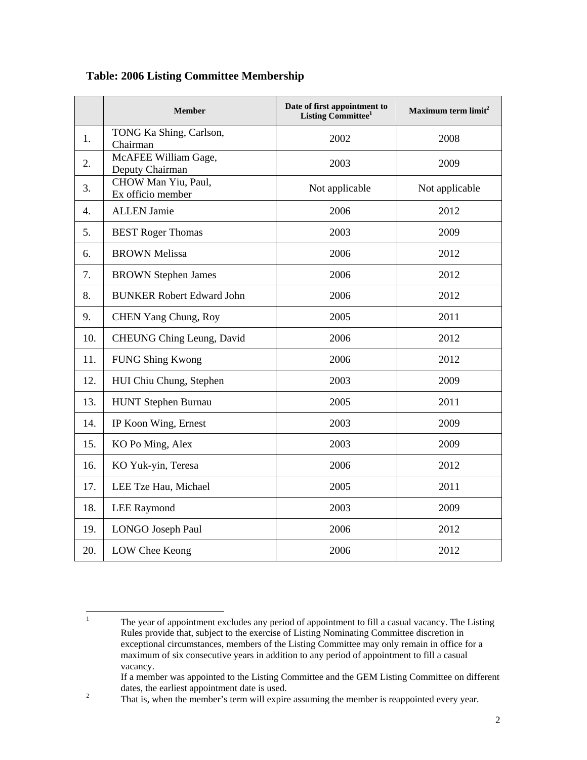|                  | <b>Member</b>                            | Date of first appointment to<br>Listing Committee <sup>1</sup> | Maximum term $limit2$ |
|------------------|------------------------------------------|----------------------------------------------------------------|-----------------------|
| 1.               | TONG Ka Shing, Carlson,<br>Chairman      | 2002                                                           | 2008                  |
| 2.               | McAFEE William Gage,<br>Deputy Chairman  | 2003                                                           | 2009                  |
| 3.               | CHOW Man Yiu, Paul,<br>Ex officio member | Not applicable                                                 | Not applicable        |
| $\overline{4}$ . | <b>ALLEN Jamie</b>                       | 2006                                                           | 2012                  |
| 5.               | <b>BEST Roger Thomas</b>                 | 2003                                                           | 2009                  |
| 6.               | <b>BROWN Melissa</b>                     | 2006                                                           | 2012                  |
| 7.               | <b>BROWN</b> Stephen James               | 2006                                                           | 2012                  |
| 8.               | <b>BUNKER Robert Edward John</b>         | 2006                                                           | 2012                  |
| 9.               | CHEN Yang Chung, Roy                     | 2005                                                           | 2011                  |
| 10.              | CHEUNG Ching Leung, David                | 2006                                                           | 2012                  |
| 11.              | <b>FUNG Shing Kwong</b>                  | 2006                                                           | 2012                  |
| 12.              | HUI Chiu Chung, Stephen                  | 2003                                                           | 2009                  |
| 13.              | HUNT Stephen Burnau                      | 2005                                                           | 2011                  |
| 14.              | IP Koon Wing, Ernest                     | 2003                                                           | 2009                  |
| 15.              | KO Po Ming, Alex                         | 2003                                                           | 2009                  |
| 16.              | KO Yuk-yin, Teresa                       | 2006                                                           | 2012                  |
| 17.              | LEE Tze Hau, Michael                     | 2005                                                           | 2011                  |
| 18.              | <b>LEE Raymond</b>                       | 2003                                                           | 2009                  |
| 19.              | LONGO Joseph Paul                        | 2006                                                           | 2012                  |
| 20.              | LOW Chee Keong                           | 2006                                                           | 2012                  |

## **Table: 2006 Listing Committee Membership**

 $\frac{1}{1}$  The year of appointment excludes any period of appointment to fill a casual vacancy. The Listing Rules provide that, subject to the exercise of Listing Nominating Committee discretion in exceptional circumstances, members of the Listing Committee may only remain in office for a maximum of six consecutive years in addition to any period of appointment to fill a casual vacancy.

If a member was appointed to the Listing Committee and the GEM Listing Committee on different dates, the earliest appointment date is used.

That is, when the member's term will expire assuming the member is reappointed every year.